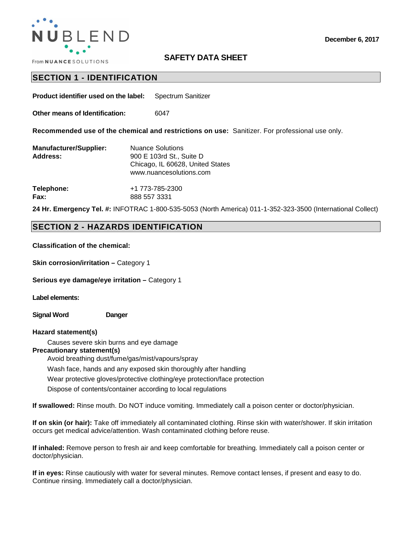

## **SAFETY DATA SHEET**

## **SECTION 1 - IDENTIFICATION**

**Product identifier used on the label:** Spectrum Sanitizer

**Other means of Identification:** 6047

**Recommended use of the chemical and restrictions on use:** Sanitizer. For professional use only.

| <b>Manufacturer/Supplier:</b> | <b>Nuance Solutions</b>          |  |  |
|-------------------------------|----------------------------------|--|--|
| <b>Address:</b>               | 900 E 103rd St., Suite D         |  |  |
|                               | Chicago, IL 60628, United States |  |  |
|                               | www.nuancesolutions.com          |  |  |
|                               |                                  |  |  |

**Telephone:** +1 773-785-2300 **Fax:** 888 557 3331

**24 Hr. Emergency Tel. #:** INFOTRAC 1-800-535-5053 (North America) 011-1-352-323-3500 (International Collect)

## **SECTION 2 - HAZARDS IDENTIFICATION**

**Classification of the chemical:** 

**Skin corrosion/irritation – Category 1** 

**Serious eye damage/eye irritation - Category 1** 

**Label elements:** 

**Signal Word Danger**

### **Hazard statement(s)**

Causes severe skin burns and eye damage

### **Precautionary statement(s)**

Avoid breathing dust/fume/gas/mist/vapours/spray

Wash face, hands and any exposed skin thoroughly after handling

Wear protective gloves/protective clothing/eye protection/face protection

Dispose of contents/container according to local regulations

**If swallowed:** Rinse mouth. Do NOT induce vomiting. Immediately call a poison center or doctor/physician.

**If on skin (or hair):** Take off immediately all contaminated clothing. Rinse skin with water/shower. If skin irritation occurs get medical advice/attention. Wash contaminated clothing before reuse.

**If inhaled:** Remove person to fresh air and keep comfortable for breathing. Immediately call a poison center or doctor/physician.

**If in eyes:** Rinse cautiously with water for several minutes. Remove contact lenses, if present and easy to do. Continue rinsing. Immediately call a doctor/physician.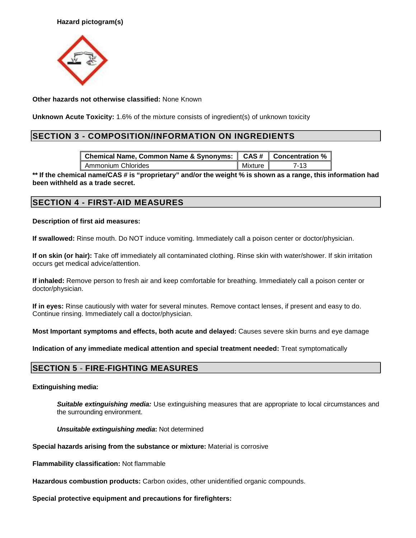

**Other hazards not otherwise classified:** None Known

**Unknown Acute Toxicity:** 1.6% of the mixture consists of ingredient(s) of unknown toxicity

# **SECTION 3 - COMPOSITION/INFORMATION ON INGREDIENTS**

| Chemical Name, Common Name & Synonyms:   CAS #   Concentration % |                        |        |
|------------------------------------------------------------------|------------------------|--------|
| Ammonium Chlorides                                               | $\blacksquare$ Mixture | $7-13$ |

**\*\* If the chemical name/CAS # is "proprietary" and/or the weight % is shown as a range, this information had been withheld as a trade secret.** 

## **SECTION 4 - FIRST-AID MEASURES**

## **Description of first aid measures:**

**If swallowed:** Rinse mouth. Do NOT induce vomiting. Immediately call a poison center or doctor/physician.

**If on skin (or hair):** Take off immediately all contaminated clothing. Rinse skin with water/shower. If skin irritation occurs get medical advice/attention.

**If inhaled:** Remove person to fresh air and keep comfortable for breathing. Immediately call a poison center or doctor/physician.

**If in eyes:** Rinse cautiously with water for several minutes. Remove contact lenses, if present and easy to do. Continue rinsing. Immediately call a doctor/physician.

**Most Important symptoms and effects, both acute and delayed:** Causes severe skin burns and eye damage

**Indication of any immediate medical attention and special treatment needed:** Treat symptomatically

# **SECTION 5 - FIRE-FIGHTING MEASURES**

### **Extinguishing media:**

**Suitable extinguishing media:** Use extinguishing measures that are appropriate to local circumstances and the surrounding environment.

### **Unsuitable extinguishing media:** Not determined

**Special hazards arising from the substance or mixture:** Material is corrosive

**Flammability classification:** Not flammable

**Hazardous combustion products:** Carbon oxides, other unidentified organic compounds.

**Special protective equipment and precautions for firefighters:**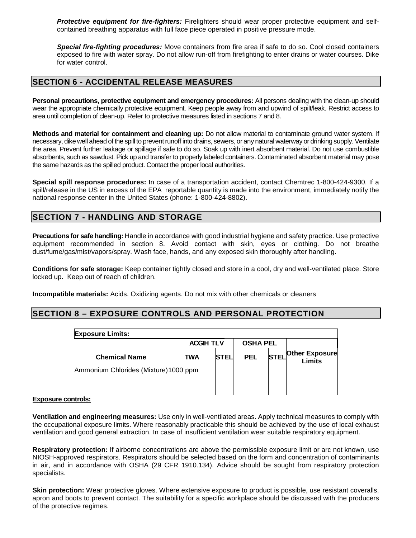**Protective equipment for fire-fighters:** Firelighters should wear proper protective equipment and selfcontained breathing apparatus with full face piece operated in positive pressure mode.

**Special fire-fighting procedures:** Move containers from fire area if safe to do so. Cool closed containers exposed to fire with water spray. Do not allow run-off from firefighting to enter drains or water courses. Dike for water control.

## **SECTION 6 - ACCIDENTAL RELEASE MEASURES**

**Personal precautions, protective equipment and emergency procedures:** All persons dealing with the clean-up should wear the appropriate chemically protective equipment. Keep people away from and upwind of spilt/leak. Restrict access to area until completion of clean-up. Refer to protective measures listed in sections 7 and 8.

**Methods and material for containment and cleaning up:** Do not allow material to contaminate ground water system. If necessary, dike well ahead of the spill to prevent runoff into drains, sewers, or any natural waterway or drinking supply. Ventilate the area. Prevent further leakage or spillage if safe to do so. Soak up with inert absorbent material. Do not use combustible absorbents, such as sawdust. Pick up and transfer to properly labeled containers. Contaminated absorbent material may pose the same hazards as the spilled product. Contact the proper local authorities.

**Special spill response procedures:** In case of a transportation accident, contact Chemtrec 1-800-424-9300. If a spill/release in the US in excess of the EPA reportable quantity is made into the environment, immediately notify the national response center in the United States (phone: 1-800-424-8802).

## **SECTION 7 - HANDLING AND STORAGE**

**Precautions for safe handling:** Handle in accordance with good industrial hygiene and safety practice. Use protective equipment recommended in section 8. Avoid contact with skin, eyes or clothing. Do not breathe dust/fume/gas/mist/vapors/spray. Wash face, hands, and any exposed skin thoroughly after handling.

**Conditions for safe storage:** Keep container tightly closed and store in a cool, dry and well-ventilated place. Store locked up. Keep out of reach of children.

**Incompatible materials:** Acids. Oxidizing agents. Do not mix with other chemicals or cleaners

## **SECTION 8 – EXPOSURE CONTROLS AND PERSONAL PROTECTION**

| <b>Exposure Limits:</b>               |                  |               |                 |             |                                        |  |
|---------------------------------------|------------------|---------------|-----------------|-------------|----------------------------------------|--|
|                                       | <b>ACGIH TLV</b> |               | <b>OSHA PEL</b> |             |                                        |  |
| <b>Chemical Name</b>                  | TWA              | <b>ISTELI</b> | <b>PEL</b>      | <b>STEL</b> | <b>Other Exposure</b><br><b>Limits</b> |  |
| Ammonium Chlorides (Mixture) 1000 ppm |                  |               |                 |             |                                        |  |

### **Exposure controls:**

**Ventilation and engineering measures:** Use only in well-ventilated areas. Apply technical measures to comply with the occupational exposure limits. Where reasonably practicable this should be achieved by the use of local exhaust ventilation and good general extraction. In case of insufficient ventilation wear suitable respiratory equipment.

**Respiratory protection:** If airborne concentrations are above the permissible exposure limit or arc not known, use NIOSH-approved respirators. Respirators should be selected based on the form and concentration of contaminants in air, and in accordance with OSHA (29 CFR 1910.134). Advice should be sought from respiratory protection specialists.

**Skin protection:** Wear protective gloves. Where extensive exposure to product is possible, use resistant coveralls, apron and boots to prevent contact. The suitability for a specific workplace should be discussed with the producers of the protective regimes.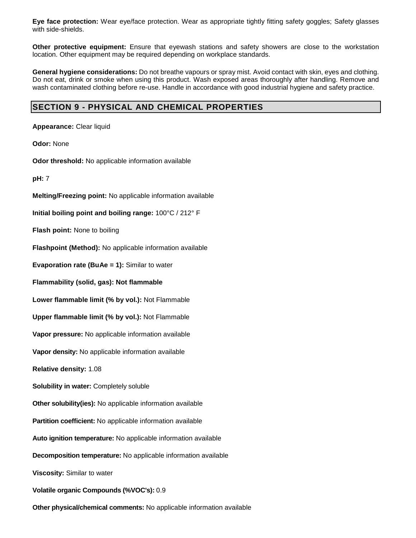**Eye face protection:** Wear eye/face protection. Wear as appropriate tightly fitting safety goggles; Safety glasses with side-shields.

**Other protective equipment:** Ensure that eyewash stations and safety showers are close to the workstation location. Other equipment may be required depending on workplace standards.

**General hygiene considerations:** Do not breathe vapours or spray mist. Avoid contact with skin, eyes and clothing. Do not eat, drink or smoke when using this product. Wash exposed areas thoroughly after handling. Remove and wash contaminated clothing before re-use. Handle in accordance with good industrial hygiene and safety practice.

# **SECTION 9 - PHYSICAL AND CHEMICAL PROPERTIES**

**Appearance:** Clear liquid

**Odor:** None

**Odor threshold:** No applicable information available

**pH:** 7

**Melting/Freezing point:** No applicable information available

**Initial boiling point and boiling range:** 100°C / 212° F

**Flash point:** None to boiling

**Flashpoint (Method):** No applicable information available

**Evaporation rate (BuAe = 1):** Similar to water

**Flammability (solid, gas): Not flammable** 

**Lower flammable limit (% by vol.):** Not Flammable

**Upper flammable limit (% by vol.):** Not Flammable

**Vapor pressure:** No applicable information available

**Vapor density:** No applicable information available

**Relative density:** 1.08

**Solubility in water:** Completely soluble

**Other solubility(ies):** No applicable information available

**Partition coefficient:** No applicable information available

**Auto ignition temperature:** No applicable information available

**Decomposition temperature:** No applicable information available

**Viscosity:** Similar to water

**Volatile organic Compounds (%VOC's):** 0.9

**Other physical/chemical comments:** No applicable information available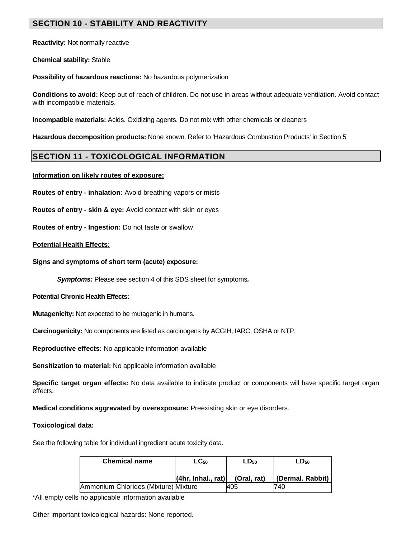# **SECTION 10 - STABILITY AND REACTIVITY**

**Reactivity:** Not normally reactive

**Chemical stability:** Stable

**Possibility of hazardous reactions:** No hazardous polymerization

**Conditions to avoid:** Keep out of reach of children. Do not use in areas without adequate ventilation. Avoid contact with incompatible materials.

**Incompatible materials:** Acids. Oxidizing agents. Do not mix with other chemicals or cleaners

**Hazardous decomposition products:** None known. Refer to 'Hazardous Combustion Products' in Section 5

# **SECTION 11 - TOXICOLOGICAL INFORMATION**

## **Information on likely routes of exposure:**

**Routes of entry - inhalation:** Avoid breathing vapors or mists

**Routes of entry - skin & eye:** Avoid contact with skin or eyes

**Routes of entry - Ingestion:** Do not taste or swallow

## **Potential Health Effects:**

**Signs and symptoms of short term (acute) exposure:** 

**Symptoms:** Please see section 4 of this SDS sheet for symptoms**.**

**Potential Chronic Health Effects:**

**Mutagenicity:** Not expected to be mutagenic in humans.

**Carcinogenicity:** No components are listed as carcinogens by ACGIH, IARC, OSHA or NTP.

**Reproductive effects:** No applicable information available

**Sensitization to material:** No applicable information available

**Specific target organ effects:** No data available to indicate product or components will have specific target organ effects.

**Medical conditions aggravated by overexposure:** Preexisting skin or eye disorders.

### **Toxicological data:**

See the following table for individual ingredient acute toxicity data.

| <b>Chemical name</b>                 | $LG_{50}$                  | $LD_{50}$   | $LD_{50}$        |
|--------------------------------------|----------------------------|-------------|------------------|
|                                      | $ $ (4hr, Inhal., rat) $ $ | (Oral, rat) | (Dermal. Rabbit) |
| Ammonium Chlorides (Mixture) Mixture |                            | 405         | 740              |

\*All empty cells no applicable information available

Other important toxicological hazards: None reported.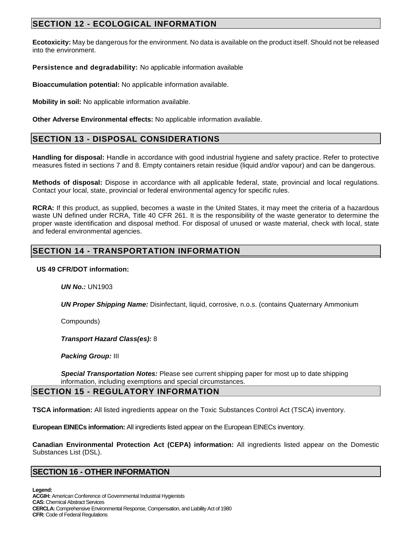# **SECTION 12 - ECOLOGICAL INFORMATION**

**Ecotoxicity:** May be dangerous for the environment. No data is available on the product itself. Should not be released into the environment.

**Persistence and degradability:** No applicable information available

**Bioaccumulation potential:** No applicable information available.

**Mobility in soil:** No applicable information available.

**Other Adverse Environmental effects:** No applicable information available.

# **SECTION 13 - DISPOSAL CONSIDERATIONS**

**Handling for disposal:** Handle in accordance with good industrial hygiene and safety practice. Refer to protective measures fisted in sections 7 and 8. Empty containers retain residue (liquid and/or vapour) and can be dangerous.

**Methods of disposal:** Dispose in accordance with all applicable federal, state, provincial and local regulations. Contact your local, state, provincial or federal environmental agency for specific rules.

**RCRA:** If this product, as supplied, becomes a waste in the United States, it may meet the criteria of a hazardous waste UN defined under RCRA, Title 40 CFR 261. It is the responsibility of the waste generator to determine the proper waste identification and disposal method. For disposal of unused or waste material, check with local, state and federal environmental agencies.

# **SECTION 14 - TRANSPORTATION INFORMATION**

### **US 49 CFR/DOT information:**

**UN No.:** UN1903

**UN Proper Shipping Name:** Disinfectant, liquid, corrosive, n.o.s. (contains Quaternary Ammonium

Compounds)

**Transport Hazard Class(es):** 8

**Packing Group:** III

**Special Transportation Notes:** Please see current shipping paper for most up to date shipping information, including exemptions and special circumstances.

# **SECTION 15 - REGULATORY INFORMATION**

**TSCA information:** All listed ingredients appear on the Toxic Substances Control Act (TSCA) inventory.

**European EINECs information:** All ingredients listed appear on the European EINECs inventory.

**Canadian Environmental Protection Act (CEPA) information:** All ingredients listed appear on the Domestic Substances List (DSL).

## **SECTION 16 - OTHER INFORMATION**

**Legend: ACGIH:** American Conference of Governmental Industrial Hygienists **CAS:** Chemical Abstract Services **CERCLA:** Comprehensive Environmental Response, Compensation, and Liability Act of 1980 **CFR:** Code of Federal Regulations